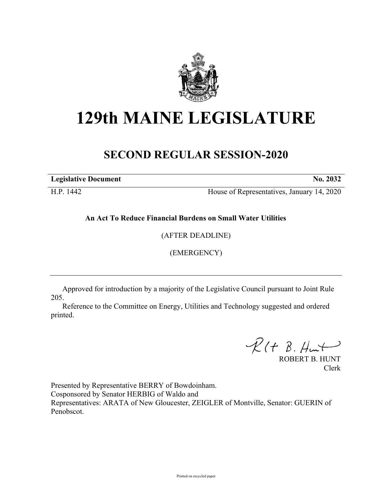

## **129th MAINE LEGISLATURE**

## **SECOND REGULAR SESSION-2020**

**Legislative Document No. 2032**

H.P. 1442 House of Representatives, January 14, 2020

**An Act To Reduce Financial Burdens on Small Water Utilities**

(AFTER DEADLINE)

(EMERGENCY)

Approved for introduction by a majority of the Legislative Council pursuant to Joint Rule 205.

Reference to the Committee on Energy, Utilities and Technology suggested and ordered printed.

 $R(H B. H<sub>ur</sub>)$ 

ROBERT B. HUNT Clerk

Presented by Representative BERRY of Bowdoinham. Cosponsored by Senator HERBIG of Waldo and Representatives: ARATA of New Gloucester, ZEIGLER of Montville, Senator: GUERIN of Penobscot.